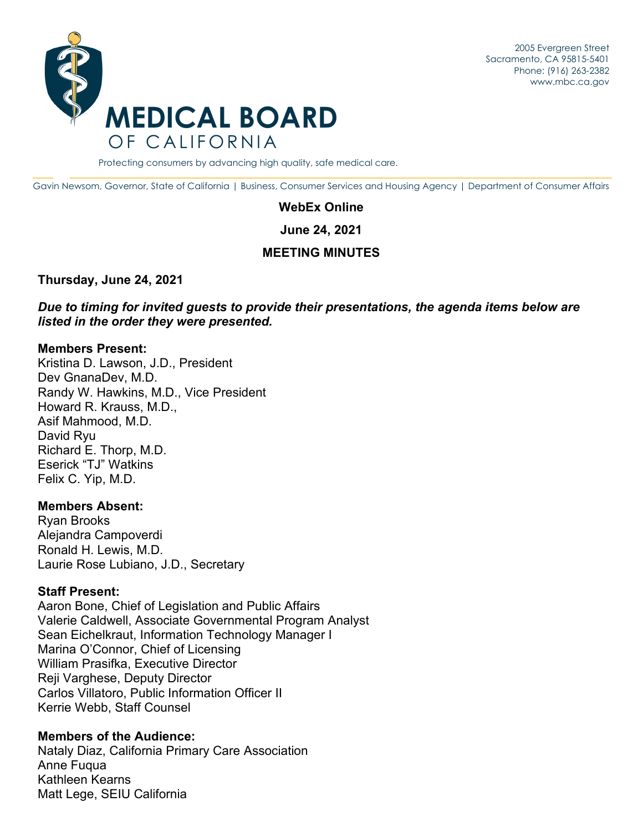2005 Evergreen Street Sacramento, CA 95815-5401 Phone: (916) 263-2382 [www.mbc.ca.go](www.mbc.ca.gov)[v](http://www.mbc.ca.gov/) 



Protecting consumers by advancing high quality, safe medical care.

Gavin Newsom, Governor, State of California | Business, Consumer Services and Housing Agency | Department of Consumer Affairs

#### **WebEx Online**

**June 24, 2021** 

# **MEETING MINUTES**

#### **Thursday, June 24, 2021**

*Due to timing for invited guests to provide their presentations, the agenda items below are listed in the order they were presented.* 

#### **Members Present:**

Kristina D. Lawson, J.D., President Dev GnanaDev, M.D. Randy W. Hawkins, M.D., Vice President Howard R. Krauss, M.D., Asif Mahmood, M.D. David Ryu Richard E. Thorp, M.D. Eserick "TJ" Watkins Felix C. Yip, M.D.

#### **Members Absent:**

Ryan Brooks Alejandra Campoverdi Ronald H. Lewis, M.D. Laurie Rose Lubiano, J.D., Secretary

#### **Staff Present:**

Aaron Bone, Chief of Legislation and Public Affairs Valerie Caldwell, Associate Governmental Program Analyst Sean Eichelkraut, Information Technology Manager I Marina O'Connor, Chief of Licensing William Prasifka, Executive Director Reji Varghese, Deputy Director Carlos Villatoro, Public Information Officer II Kerrie Webb, Staff Counsel

# **Members of the Audience:**

Nataly Diaz, California Primary Care Association Anne Fuqua Kathleen Kearns Matt Lege, SEIU California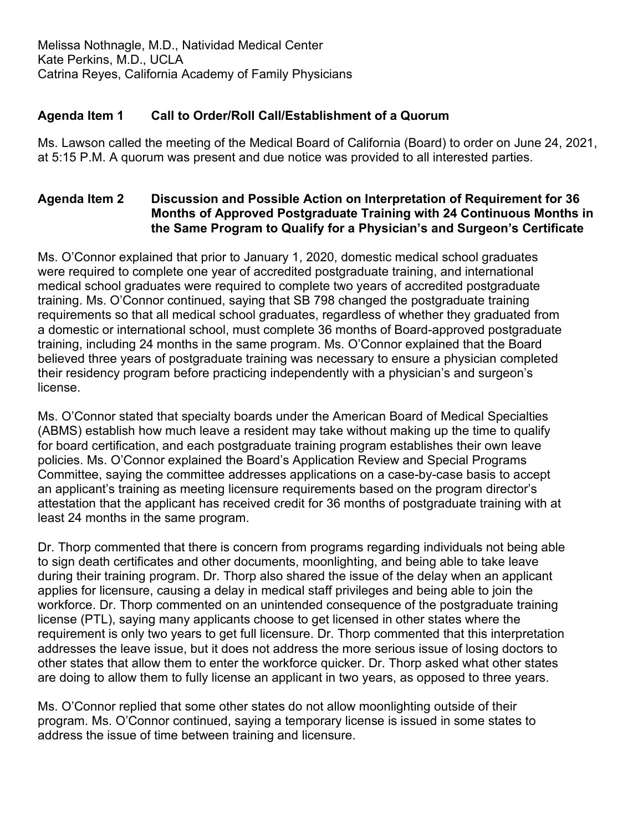Melissa Nothnagle, M.D., Natividad Medical Center Kate Perkins, M.D., UCLA Catrina Reyes, California Academy of Family Physicians

# **Agenda Item 1 Call to Order/Roll Call/Establishment of a Quorum**

Ms. Lawson called the meeting of the Medical Board of California (Board) to order on June 24, 2021, at 5:15 P.M. A quorum was present and due notice was provided to all interested parties.

# **Agenda Item 2 Discussion and Possible Action on Interpretation of Requirement for 36 Months of Approved Postgraduate Training with 24 Continuous Months in the Same Program to Qualify for a Physician's and Surgeon's Certificate**

Ms. O'Connor explained that prior to January 1, 2020, domestic medical school graduates were required to complete one year of accredited postgraduate training, and international medical school graduates were required to complete two years of accredited postgraduate training. Ms. O'Connor continued, saying that SB 798 changed the postgraduate training requirements so that all medical school graduates, regardless of whether they graduated from a domestic or international school, must complete 36 months of Board-approved postgraduate training, including 24 months in the same program. Ms. O'Connor explained that the Board believed three years of postgraduate training was necessary to ensure a physician completed their residency program before practicing independently with a physician's and surgeon's license.

Ms. O'Connor stated that specialty boards under the American Board of Medical Specialties (ABMS) establish how much leave a resident may take without making up the time to qualify for board certification, and each postgraduate training program establishes their own leave policies. Ms. O'Connor explained the Board's Application Review and Special Programs Committee, saying the committee addresses applications on a case-by-case basis to accept an applicant's training as meeting licensure requirements based on the program director's attestation that the applicant has received credit for 36 months of postgraduate training with at least 24 months in the same program.

Dr. Thorp commented that there is concern from programs regarding individuals not being able to sign death certificates and other documents, moonlighting, and being able to take leave during their training program. Dr. Thorp also shared the issue of the delay when an applicant applies for licensure, causing a delay in medical staff privileges and being able to join the workforce. Dr. Thorp commented on an unintended consequence of the postgraduate training license (PTL), saying many applicants choose to get licensed in other states where the requirement is only two years to get full licensure. Dr. Thorp commented that this interpretation addresses the leave issue, but it does not address the more serious issue of losing doctors to other states that allow them to enter the workforce quicker. Dr. Thorp asked what other states are doing to allow them to fully license an applicant in two years, as opposed to three years.

Ms. O'Connor replied that some other states do not allow moonlighting outside of their program. Ms. O'Connor continued, saying a temporary license is issued in some states to address the issue of time between training and licensure.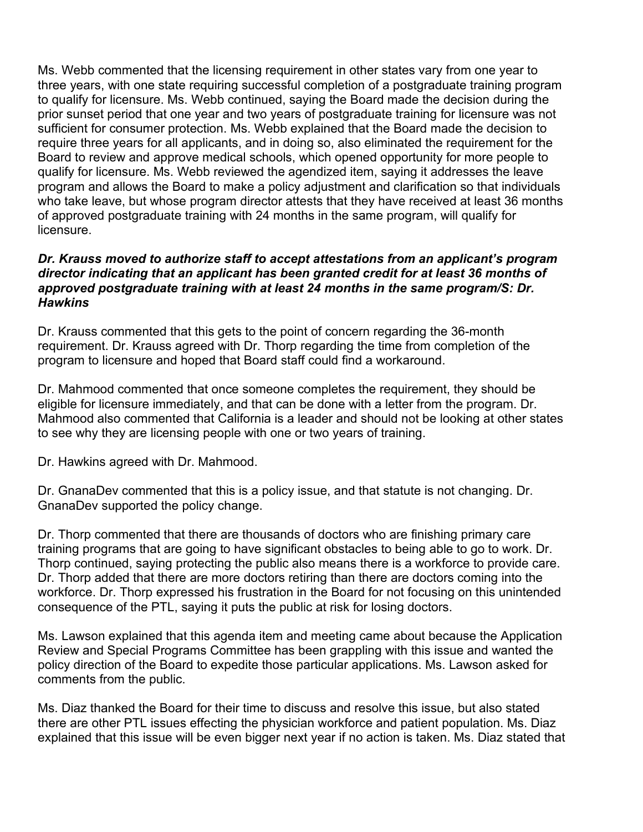Ms. Webb commented that the licensing requirement in other states vary from one year to three years, with one state requiring successful completion of a postgraduate training program to qualify for licensure. Ms. Webb continued, saying the Board made the decision during the prior sunset period that one year and two years of postgraduate training for licensure was not sufficient for consumer protection. Ms. Webb explained that the Board made the decision to require three years for all applicants, and in doing so, also eliminated the requirement for the Board to review and approve medical schools, which opened opportunity for more people to qualify for licensure. Ms. Webb reviewed the agendized item, saying it addresses the leave program and allows the Board to make a policy adjustment and clarification so that individuals who take leave, but whose program director attests that they have received at least 36 months of approved postgraduate training with 24 months in the same program, will qualify for licensure.

### *Dr. Krauss moved to authorize staff to accept attestations from an applicant's program director indicating that an applicant has been granted credit for at least 36 months of approved postgraduate training with at least 24 months in the same program/S: Dr. Hawkins*

Dr. Krauss commented that this gets to the point of concern regarding the 36-month requirement. Dr. Krauss agreed with Dr. Thorp regarding the time from completion of the program to licensure and hoped that Board staff could find a workaround.

Dr. Mahmood commented that once someone completes the requirement, they should be eligible for licensure immediately, and that can be done with a letter from the program. Dr. Mahmood also commented that California is a leader and should not be looking at other states to see why they are licensing people with one or two years of training.

Dr. Hawkins agreed with Dr. Mahmood.

Dr. GnanaDev commented that this is a policy issue, and that statute is not changing. Dr. GnanaDev supported the policy change.

Dr. Thorp commented that there are thousands of doctors who are finishing primary care training programs that are going to have significant obstacles to being able to go to work. Dr. Thorp continued, saying protecting the public also means there is a workforce to provide care. Dr. Thorp added that there are more doctors retiring than there are doctors coming into the workforce. Dr. Thorp expressed his frustration in the Board for not focusing on this unintended consequence of the PTL, saying it puts the public at risk for losing doctors.

Ms. Lawson explained that this agenda item and meeting came about because the Application Review and Special Programs Committee has been grappling with this issue and wanted the policy direction of the Board to expedite those particular applications. Ms. Lawson asked for comments from the public.

Ms. Diaz thanked the Board for their time to discuss and resolve this issue, but also stated there are other PTL issues effecting the physician workforce and patient population. Ms. Diaz explained that this issue will be even bigger next year if no action is taken. Ms. Diaz stated that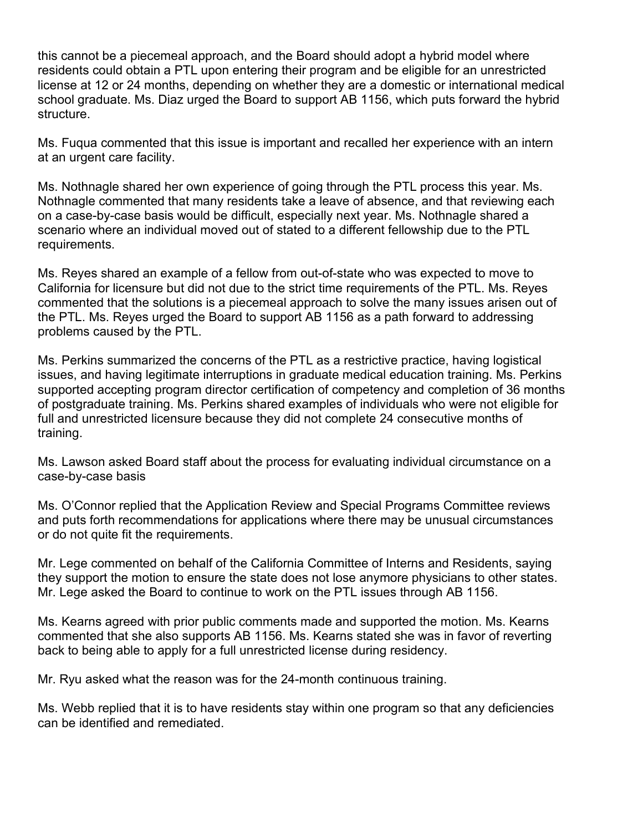this cannot be a piecemeal approach, and the Board should adopt a hybrid model where residents could obtain a PTL upon entering their program and be eligible for an unrestricted license at 12 or 24 months, depending on whether they are a domestic or international medical school graduate. Ms. Diaz urged the Board to support AB 1156, which puts forward the hybrid structure.

Ms. Fuqua commented that this issue is important and recalled her experience with an intern at an urgent care facility.

Ms. Nothnagle shared her own experience of going through the PTL process this year. Ms. Nothnagle commented that many residents take a leave of absence, and that reviewing each on a case-by-case basis would be difficult, especially next year. Ms. Nothnagle shared a scenario where an individual moved out of stated to a different fellowship due to the PTL requirements.

Ms. Reyes shared an example of a fellow from out-of-state who was expected to move to California for licensure but did not due to the strict time requirements of the PTL. Ms. Reyes commented that the solutions is a piecemeal approach to solve the many issues arisen out of the PTL. Ms. Reyes urged the Board to support AB 1156 as a path forward to addressing problems caused by the PTL.

Ms. Perkins summarized the concerns of the PTL as a restrictive practice, having logistical issues, and having legitimate interruptions in graduate medical education training. Ms. Perkins supported accepting program director certification of competency and completion of 36 months of postgraduate training. Ms. Perkins shared examples of individuals who were not eligible for full and unrestricted licensure because they did not complete 24 consecutive months of training.

Ms. Lawson asked Board staff about the process for evaluating individual circumstance on a case-by-case basis

Ms. O'Connor replied that the Application Review and Special Programs Committee reviews and puts forth recommendations for applications where there may be unusual circumstances or do not quite fit the requirements.

Mr. Lege commented on behalf of the California Committee of Interns and Residents, saying they support the motion to ensure the state does not lose anymore physicians to other states. Mr. Lege asked the Board to continue to work on the PTL issues through AB 1156.

Ms. Kearns agreed with prior public comments made and supported the motion. Ms. Kearns commented that she also supports AB 1156. Ms. Kearns stated she was in favor of reverting back to being able to apply for a full unrestricted license during residency.

Mr. Ryu asked what the reason was for the 24-month continuous training.

Ms. Webb replied that it is to have residents stay within one program so that any deficiencies can be identified and remediated.